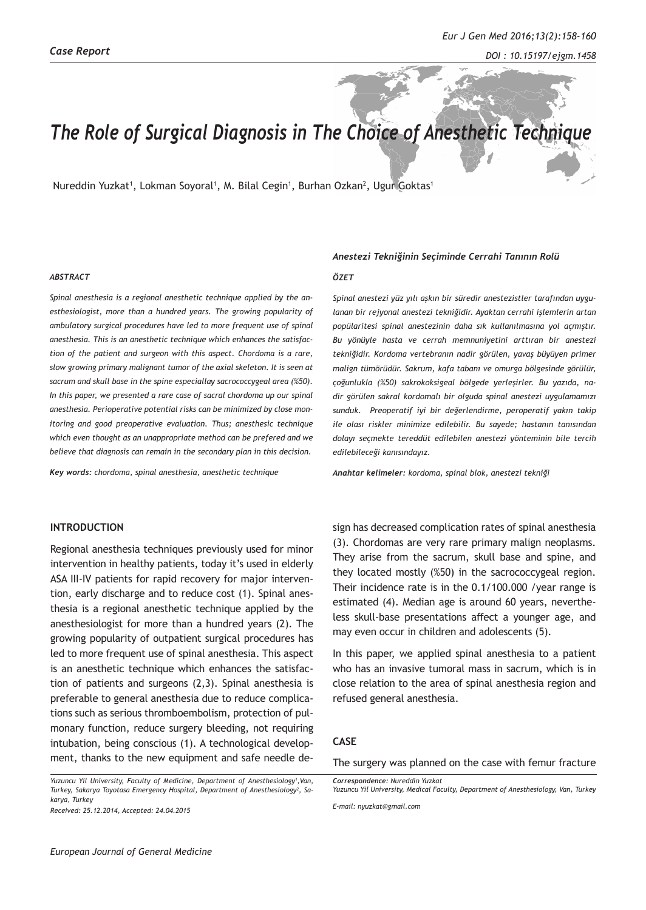# *The Role of Surgical Diagnosis in The Choice of Anesthetic Technique*

Nureddin Yuzkat<sup>1</sup>, Lokman Soyoral<sup>1</sup>, M. Bilal Cegin<sup>1</sup>, Burhan Ozkan<sup>2</sup>, Ugur Goktas<sup>1</sup>

#### *ABSTRACT*

*Spinal anesthesia is a regional anesthetic technique applied by the anesthesiologist, more than a hundred years. The growing popularity of ambulatory surgical procedures have led to more frequent use of spinal anesthesia. This is an anesthetic technique which enhances the satisfaction of the patient and surgeon with this aspect. Chordoma is a rare, slow growing primary malignant tumor of the axial skeleton. It is seen at sacrum and skull base in the spine especiallay sacrococcygeal area (%50). In this paper, we presented a rare case of sacral chordoma up our spinal anesthesia. Perioperative potential risks can be minimized by close monitoring and good preoperative evaluation. Thus; anesthesic technique which even thought as an unappropriate method can be prefered and we believe that diagnosis can remain in the secondary plan in this decision.*

*Key words: chordoma, spinal anesthesia, anesthetic technique*

## **INTRODUCTION**

Regional anesthesia techniques previously used for minor intervention in healthy patients, today it's used in elderly ASA III-IV patients for rapid recovery for major intervention, early discharge and to reduce cost (1). Spinal anesthesia is a regional anesthetic technique applied by the anesthesiologist for more than a hundred years (2). The growing popularity of outpatient surgical procedures has led to more frequent use of spinal anesthesia. This aspect is an anesthetic technique which enhances the satisfaction of patients and surgeons (2,3). Spinal anesthesia is preferable to general anesthesia due to reduce complications such as serious thromboembolism, protection of pulmonary function, reduce surgery bleeding, not requiring intubation, being conscious (1). A technological development, thanks to the new equipment and safe needle de-

Yuzuncu Yil University, Faculty of Medicine, Department of Anesthesiology<sup>1</sup>, Van, *Turkey, Sakarya Toyotasa Emergency Hospital, Department of Anesthesiology2 , Sakarya, Turkey* 

*Received: 25.12.2014, Accepted: 24.04.2015*

#### *Anestezi Tekniğinin Seçiminde Cerrahi Tanının Rolü*

#### *ÖZET*

*Spinal anestezi yüz yılı aşkın bir süredir anestezistler tarafından uygulanan bir rejyonal anestezi tekniğidir. Ayaktan cerrahi işlemlerin artan popülaritesi spinal anestezinin daha sık kullanılmasına yol açmıştır. Bu yönüyle hasta ve cerrah memnuniyetini arttıran bir anestezi tekniğidir. Kordoma vertebranın nadir görülen, yavaş büyüyen primer malign tümörüdür. Sakrum, kafa tabanı ve omurga bölgesinde görülür, çoğunlukla (%50) sakrokoksigeal bölgede yerleşirler. Bu yazıda, nadir görülen sakral kordomalı bir olguda spinal anestezi uygulamamızı sunduk. Preoperatif iyi bir değerlendirme, peroperatif yakın takip ile olası riskler minimize edilebilir. Bu sayede; hastanın tanısından dolayı seçmekte tereddüt edilebilen anestezi yönteminin bile tercih edilebileceği kanısındayız.*

*Anahtar kelimeler: kordoma, spinal blok, anestezi tekniği*

sign has decreased complication rates of spinal anesthesia (3). Chordomas are very rare primary malign neoplasms. They arise from the sacrum, skull base and spine, and they located mostly (%50) in the sacrococcygeal region. Their incidence rate is in the 0.1/100.000 /year range is estimated (4). Median age is around 60 years, nevertheless skull-base presentations affect a younger age, and may even occur in children and adolescents (5).

In this paper, we applied spinal anesthesia to a patient who has an invasive tumoral mass in sacrum, which is in close relation to the area of spinal anesthesia region and refused general anesthesia.

## **CASE**

The surgery was planned on the case with femur fracture

*E-mail: nyuzkat@gmail.com*

*Correspondence: Nureddin Yuzkat Yuzuncu Yil University, Medical Faculty, Department of Anesthesiology, Van, Turkey*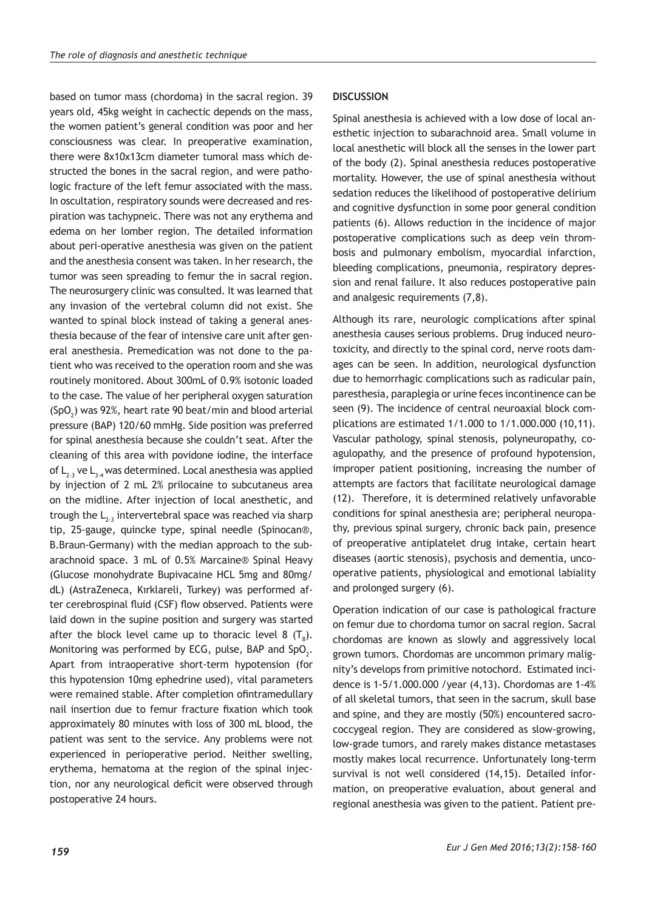based on tumor mass (chordoma) in the sacral region. 39 years old, 45kg weight in cachectic depends on the mass, the women patient's general condition was poor and her consciousness was clear. In preoperative examination, there were 8x10x13cm diameter tumoral mass which destructed the bones in the sacral region, and were pathologic fracture of the left femur associated with the mass. In oscultation, respiratory sounds were decreased and respiration was tachypneic. There was not any erythema and edema on her lomber region. The detailed information about peri-operative anesthesia was given on the patient and the anesthesia consent was taken. In her research, the tumor was seen spreading to femur the in sacral region. The neurosurgery clinic was consulted. It was learned that any invasion of the vertebral column did not exist. She wanted to spinal block instead of taking a general anesthesia because of the fear of intensive care unit after general anesthesia. Premedication was not done to the patient who was received to the operation room and she was routinely monitored. About 300mL of 0.9% isotonic loaded to the case. The value of her peripheral oxygen saturation  $(SpO<sub>2</sub>)$  was 92%, heart rate 90 beat/min and blood arterial pressure (BAP) 120/60 mmHg. Side position was preferred for spinal anesthesia because she couldn't seat. After the cleaning of this area with povidone iodine, the interface of  $L_{2,3}$  ve  $L_{3,4}$  was determined. Local anesthesia was applied by injection of 2 mL 2% prilocaine to subcutaneus area on the midline. After injection of local anesthetic, and trough the  $L_{2,3}$  intervertebral space was reached via sharp tip, 25-gauge, quincke type, spinal needle (Spinocan®, B.Braun-Germany) with the median approach to the subarachnoid space. 3 mL of 0.5% Marcaine® Spinal Heavy (Glucose monohydrate Bupivacaine HCL 5mg and 80mg/ dL) (AstraZeneca, Kırklareli, Turkey) was performed after cerebrospinal fluid (CSF) flow observed. Patients were laid down in the supine position and surgery was started after the block level came up to thoracic level 8  $(T_{\text{s}})$ . Monitoring was performed by ECG, pulse, BAP and SpO $_2$ . Apart from intraoperative short-term hypotension (for this hypotension 10mg ephedrine used), vital parameters were remained stable. After completion ofintramedullary nail insertion due to femur fracture fixation which took approximately 80 minutes with loss of 300 mL blood, the patient was sent to the service. Any problems were not experienced in perioperative period. Neither swelling, erythema, hematoma at the region of the spinal injection, nor any neurological deficit were observed through postoperative 24 hours.

### **DISCUSSION**

Spinal anesthesia is achieved with a low dose of local anesthetic injection to subarachnoid area. Small volume in local anesthetic will block all the senses in the lower part of the body (2). Spinal anesthesia reduces postoperative mortality. However, the use of spinal anesthesia without sedation reduces the likelihood of postoperative delirium and cognitive dysfunction in some poor general condition patients (6). Allows reduction in the incidence of major postoperative complications such as deep vein thrombosis and pulmonary embolism, myocardial infarction, bleeding complications, pneumonia, respiratory depression and renal failure. It also reduces postoperative pain and analgesic requirements (7,8).

Although its rare, neurologic complications after spinal anesthesia causes serious problems. Drug induced neurotoxicity, and directly to the spinal cord, nerve roots damages can be seen. In addition, neurological dysfunction due to hemorrhagic complications such as radicular pain, paresthesia, paraplegia or urine feces incontinence can be seen (9). The incidence of central neuroaxial block complications are estimated 1/1.000 to 1/1.000.000 (10,11). Vascular pathology, spinal stenosis, polyneuropathy, coagulopathy, and the presence of profound hypotension, improper patient positioning, increasing the number of attempts are factors that facilitate neurological damage (12). Therefore, it is determined relatively unfavorable conditions for spinal anesthesia are; peripheral neuropathy, previous spinal surgery, chronic back pain, presence of preoperative antiplatelet drug intake, certain heart diseases (aortic stenosis), psychosis and dementia, uncooperative patients, physiological and emotional labiality and prolonged surgery (6).

Operation indication of our case is pathological fracture on femur due to chordoma tumor on sacral region. Sacral chordomas are known as slowly and aggressively local grown tumors. Chordomas are uncommon primary malignity's develops from primitive notochord. Estimated incidence is 1-5/1.000.000 /year (4,13). Chordomas are 1-4% of all skeletal tumors, that seen in the sacrum, skull base and spine, and they are mostly (50%) encountered sacrococcygeal region. They are considered as slow-growing, low-grade tumors, and rarely makes distance metastases mostly makes local recurrence. Unfortunately long-term survival is not well considered (14,15). Detailed information, on preoperative evaluation, about general and regional anesthesia was given to the patient. Patient pre